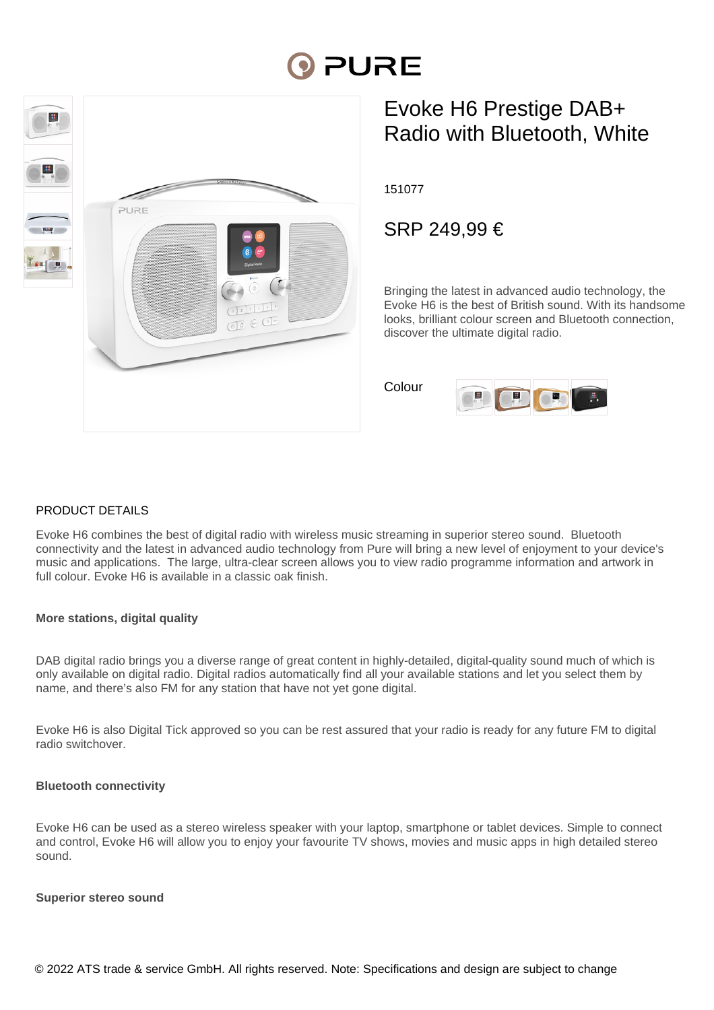# **PURE**



# Evoke H6 Prestige DAB+ Radio with Bluetooth, White

151077

SRP 249,99 €

Bringing the latest in advanced audio technology, the Evoke H6 is the best of British sound. With its handsome looks, brilliant colour screen and Bluetooth connection, discover the ultimate digital radio.

Colour



#### PRODUCT DETAILS

Evoke H6 combines the best of digital radio with wireless music streaming in superior stereo sound. Bluetooth connectivity and the latest in advanced audio technology from Pure will bring a new level of enjoyment to your device's music and applications. The large, ultra-clear screen allows you to view radio programme information and artwork in full colour. Evoke H6 is available in a classic oak finish.

#### **More stations, digital quality**

DAB digital radio brings you a diverse range of great content in highly-detailed, digital-quality sound much of which is only available on digital radio. Digital radios automatically find all your available stations and let you select them by name, and there's also FM for any station that have not yet gone digital.

Evoke H6 is also Digital Tick approved so you can be rest assured that your radio is ready for any future FM to digital radio switchover.

#### **Bluetooth connectivity**

Evoke H6 can be used as a stereo wireless speaker with your laptop, smartphone or tablet devices. Simple to connect and control, Evoke H6 will allow you to enjoy your favourite TV shows, movies and music apps in high detailed stereo sound.

#### **Superior stereo sound**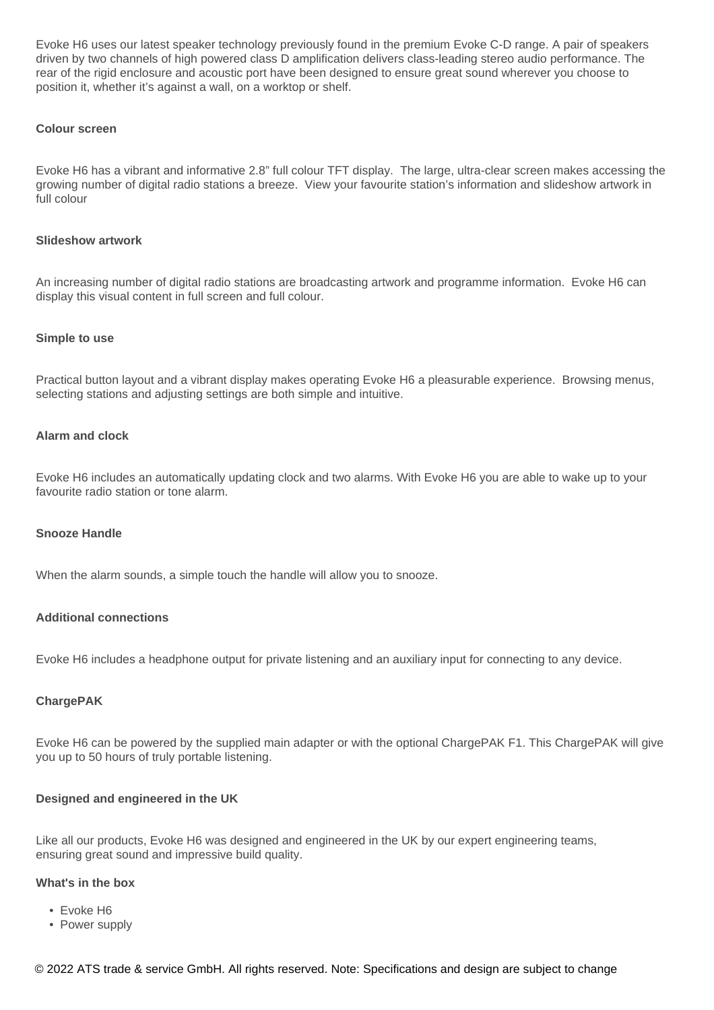Evoke H6 uses our latest speaker technology previously found in the premium Evoke C-D range. A pair of speakers driven by two channels of high powered class D amplification delivers class-leading stereo audio performance. The rear of the rigid enclosure and acoustic port have been designed to ensure great sound wherever you choose to position it, whether it's against a wall, on a worktop or shelf.

#### **Colour screen**

Evoke H6 has a vibrant and informative 2.8" full colour TFT display. The large, ultra-clear screen makes accessing the growing number of digital radio stations a breeze. View your favourite station's information and slideshow artwork in full colour

#### **Slideshow artwork**

An increasing number of digital radio stations are broadcasting artwork and programme information. Evoke H6 can display this visual content in full screen and full colour.

#### **Simple to use**

Practical button layout and a vibrant display makes operating Evoke H6 a pleasurable experience. Browsing menus, selecting stations and adjusting settings are both simple and intuitive.

#### **Alarm and clock**

Evoke H6 includes an automatically updating clock and two alarms. With Evoke H6 you are able to wake up to your favourite radio station or tone alarm.

#### **Snooze Handle**

When the alarm sounds, a simple touch the handle will allow you to snooze.

#### **Additional connections**

Evoke H6 includes a headphone output for private listening and an auxiliary input for connecting to any device.

#### **ChargePAK**

Evoke H6 can be powered by the supplied main adapter or with the optional ChargePAK F1. This ChargePAK will give you up to 50 hours of truly portable listening.

#### **Designed and engineered in the UK**

Like all our products, Evoke H6 was designed and engineered in the UK by our expert engineering teams, ensuring great sound and impressive build quality.

#### **What's in the box**

- Evoke H6
- Power supply